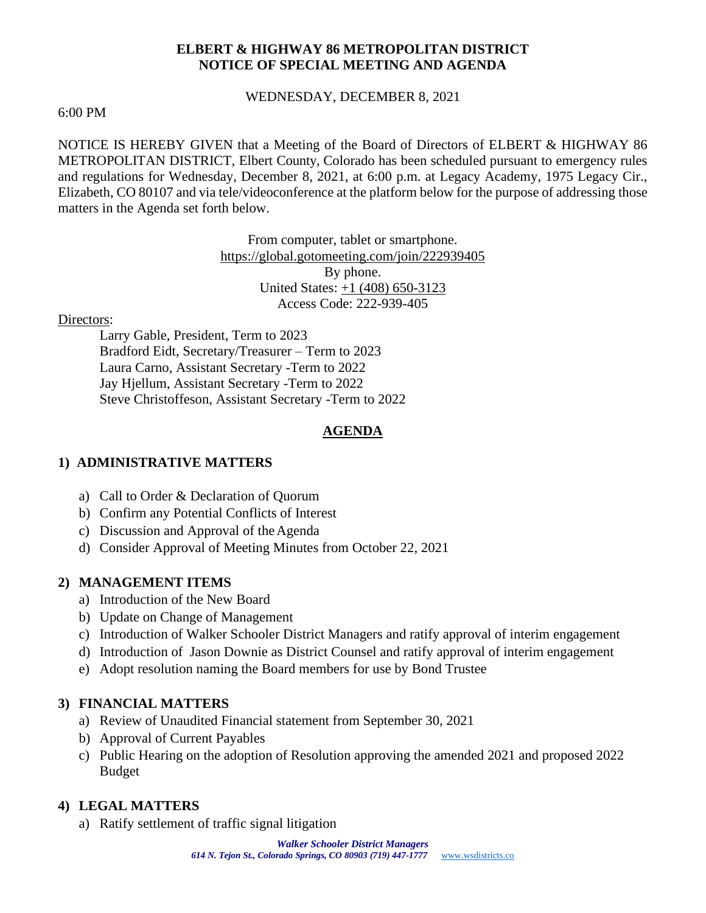### **ELBERT & HIGHWAY 86 METROPOLITAN DISTRICT NOTICE OF SPECIAL MEETING AND AGENDA**

#### WEDNESDAY, DECEMBER 8, 2021

#### 6:00 PM

NOTICE IS HEREBY GIVEN that a Meeting of the Board of Directors of ELBERT & HIGHWAY 86 METROPOLITAN DISTRICT, Elbert County, Colorado has been scheduled pursuant to emergency rules and regulations for Wednesday, December 8, 2021, at 6:00 p.m. at Legacy Academy, 1975 Legacy Cir., Elizabeth, CO 80107 and via tele/videoconference at the platform below for the purpose of addressing those matters in the Agenda set forth below.

> From computer, tablet or smartphone. <https://global.gotomeeting.com/join/222939405> By phone. United States: [+1 \(408\) 650-3123](tel:+14086503123,,222939405) Access Code: 222-939-405

### Directors:

Larry Gable, President, Term to 2023 Bradford Eidt, Secretary/Treasurer – Term to 2023 Laura Carno, Assistant Secretary -Term to 2022 Jay Hjellum, Assistant Secretary -Term to 2022 Steve Christoffeson, Assistant Secretary -Term to 2022

# **AGENDA**

# **1) ADMINISTRATIVE MATTERS**

- a) Call to Order & Declaration of Quorum
- b) Confirm any Potential Conflicts of Interest
- c) Discussion and Approval of theAgenda
- d) Consider Approval of Meeting Minutes from October 22, 2021

## **2) MANAGEMENT ITEMS**

- a) Introduction of the New Board
- b) Update on Change of Management
- c) Introduction of Walker Schooler District Managers and ratify approval of interim engagement
- d) Introduction of Jason Downie as District Counsel and ratify approval of interim engagement
- e) Adopt resolution naming the Board members for use by Bond Trustee

## **3) FINANCIAL MATTERS**

- a) Review of Unaudited Financial statement from September 30, 2021
- b) Approval of Current Payables
- c) Public Hearing on the adoption of Resolution approving the amended 2021 and proposed 2022 Budget

## **4) LEGAL MATTERS**

a) Ratify settlement of traffic signal litigation